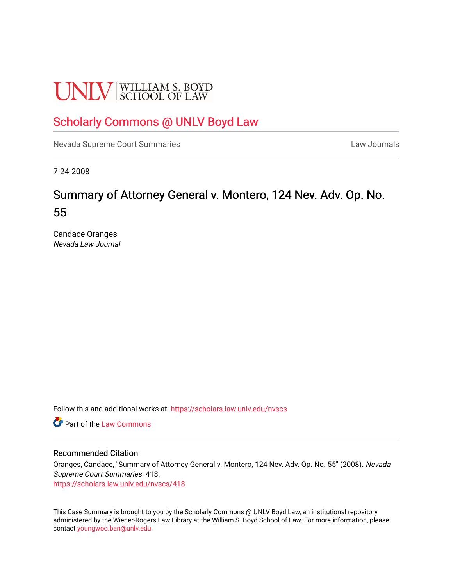# **UNLV** SCHOOL OF LAW

# [Scholarly Commons @ UNLV Boyd Law](https://scholars.law.unlv.edu/)

[Nevada Supreme Court Summaries](https://scholars.law.unlv.edu/nvscs) **Law Journals** Law Journals

7-24-2008

# Summary of Attorney General v. Montero, 124 Nev. Adv. Op. No. 55

Candace Oranges Nevada Law Journal

Follow this and additional works at: [https://scholars.law.unlv.edu/nvscs](https://scholars.law.unlv.edu/nvscs?utm_source=scholars.law.unlv.edu%2Fnvscs%2F418&utm_medium=PDF&utm_campaign=PDFCoverPages)

**C** Part of the [Law Commons](http://network.bepress.com/hgg/discipline/578?utm_source=scholars.law.unlv.edu%2Fnvscs%2F418&utm_medium=PDF&utm_campaign=PDFCoverPages)

#### Recommended Citation

Oranges, Candace, "Summary of Attorney General v. Montero, 124 Nev. Adv. Op. No. 55" (2008). Nevada Supreme Court Summaries. 418.

[https://scholars.law.unlv.edu/nvscs/418](https://scholars.law.unlv.edu/nvscs/418?utm_source=scholars.law.unlv.edu%2Fnvscs%2F418&utm_medium=PDF&utm_campaign=PDFCoverPages)

This Case Summary is brought to you by the Scholarly Commons @ UNLV Boyd Law, an institutional repository administered by the Wiener-Rogers Law Library at the William S. Boyd School of Law. For more information, please contact [youngwoo.ban@unlv.edu](mailto:youngwoo.ban@unlv.edu).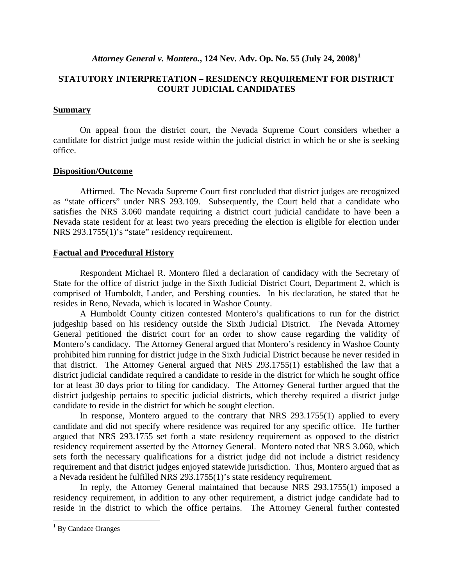### *Attorney General v. Montero.***, 124 Nev. Adv. Op. No. 55 (July 24, 2008)[1](#page-1-0)**

## **STATUTORY INTERPRETATION – RESIDENCY REQUIREMENT FOR DISTRICT COURT JUDICIAL CANDIDATES**

### **Summary**

On appeal from the district court, the Nevada Supreme Court considers whether a candidate for district judge must reside within the judicial district in which he or she is seeking office.

#### **Disposition/Outcome**

Affirmed. The Nevada Supreme Court first concluded that district judges are recognized as "state officers" under NRS 293.109. Subsequently, the Court held that a candidate who satisfies the NRS 3.060 mandate requiring a district court judicial candidate to have been a Nevada state resident for at least two years preceding the election is eligible for election under NRS 293.1755(1)'s "state" residency requirement.

## **Factual and Procedural History**

 Respondent Michael R. Montero filed a declaration of candidacy with the Secretary of State for the office of district judge in the Sixth Judicial District Court, Department 2, which is comprised of Humboldt, Lander, and Pershing counties. In his declaration, he stated that he resides in Reno, Nevada, which is located in Washoe County.

 A Humboldt County citizen contested Montero's qualifications to run for the district judgeship based on his residency outside the Sixth Judicial District. The Nevada Attorney General petitioned the district court for an order to show cause regarding the validity of Montero's candidacy. The Attorney General argued that Montero's residency in Washoe County prohibited him running for district judge in the Sixth Judicial District because he never resided in that district. The Attorney General argued that NRS 293.1755(1) established the law that a district judicial candidate required a candidate to reside in the district for which he sought office for at least 30 days prior to filing for candidacy. The Attorney General further argued that the district judgeship pertains to specific judicial districts, which thereby required a district judge candidate to reside in the district for which he sought election.

 In response, Montero argued to the contrary that NRS 293.1755(1) applied to every candidate and did not specify where residence was required for any specific office. He further argued that NRS 293.1755 set forth a state residency requirement as opposed to the district residency requirement asserted by the Attorney General. Montero noted that NRS 3.060, which sets forth the necessary qualifications for a district judge did not include a district residency requirement and that district judges enjoyed statewide jurisdiction. Thus, Montero argued that as a Nevada resident he fulfilled NRS 293.1755(1)'s state residency requirement.

 In reply, the Attorney General maintained that because NRS 293.1755(1) imposed a residency requirement, in addition to any other requirement, a district judge candidate had to reside in the district to which the office pertains. The Attorney General further contested

 $\overline{a}$ 

<span id="page-1-0"></span><sup>&</sup>lt;sup>1</sup> By Candace Oranges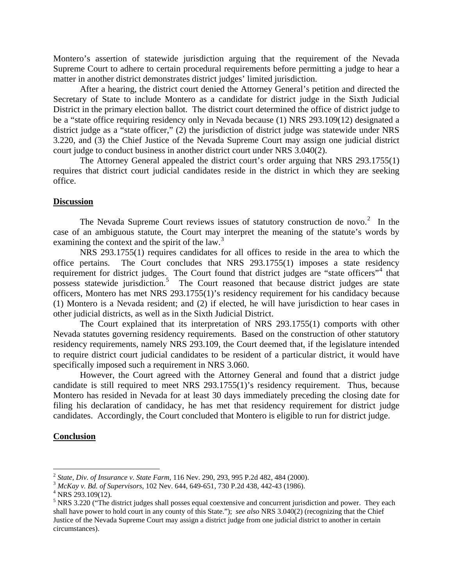Montero's assertion of statewide jurisdiction arguing that the requirement of the Nevada Supreme Court to adhere to certain procedural requirements before permitting a judge to hear a matter in another district demonstrates district judges' limited jurisdiction.

 After a hearing, the district court denied the Attorney General's petition and directed the Secretary of State to include Montero as a candidate for district judge in the Sixth Judicial District in the primary election ballot. The district court determined the office of district judge to be a "state office requiring residency only in Nevada because (1) NRS 293.109(12) designated a district judge as a "state officer," (2) the jurisdiction of district judge was statewide under NRS 3.220, and (3) the Chief Justice of the Nevada Supreme Court may assign one judicial district court judge to conduct business in another district court under NRS 3.040(2).

 The Attorney General appealed the district court's order arguing that NRS 293.1755(1) requires that district court judicial candidates reside in the district in which they are seeking office.

#### **Discussion**

The Nevada Supreme Court reviews issues of statutory construction de novo. $2$  In the case of an ambiguous statute, the Court may interpret the meaning of the statute's words by examining the context and the spirit of the law.<sup>[3](#page-2-1)</sup>

 NRS 293.1755(1) requires candidates for all offices to reside in the area to which the office pertains. The Court concludes that NRS 293.1755(1) imposes a state residency requirement for district judges. The Court found that district judges are "state officers"<sup>[4](#page-2-2)</sup> that possess statewide jurisdiction.<sup>[5](#page-2-3)</sup> The Court reasoned that because district judges are state officers, Montero has met NRS 293.1755(1)'s residency requirement for his candidacy because (1) Montero is a Nevada resident; and (2) if elected, he will have jurisdiction to hear cases in other judicial districts, as well as in the Sixth Judicial District.

 The Court explained that its interpretation of NRS 293.1755(1) comports with other Nevada statutes governing residency requirements. Based on the construction of other statutory residency requirements, namely NRS 293.109, the Court deemed that, if the legislature intended to require district court judicial candidates to be resident of a particular district, it would have specifically imposed such a requirement in NRS 3.060.

 However, the Court agreed with the Attorney General and found that a district judge candidate is still required to meet NRS 293.1755(1)'s residency requirement. Thus, because Montero has resided in Nevada for at least 30 days immediately preceding the closing date for filing his declaration of candidacy, he has met that residency requirement for district judge candidates. Accordingly, the Court concluded that Montero is eligible to run for district judge.

#### **Conclusion**

 $\overline{a}$ 

<span id="page-2-1"></span><span id="page-2-0"></span><sup>2</sup> *State, Div. of Insurance v. State Farm*, 116 Nev. 290, 293, 995 P.2d 482, 484 (2000). 3 *McKay v. Bd. of Supervisors*, 102 Nev. 644, 649-651, 730 P.2d 438, 442-43 (1986). 4

<span id="page-2-2"></span><sup>&</sup>lt;sup>4</sup> NRS 293.109(12).

<span id="page-2-3"></span> $<sup>5</sup>$  NRS 3.220 ("The district judges shall posses equal coextensive and concurrent jurisdiction and power. They each</sup> shall have power to hold court in any county of this State."); *see also* NRS 3.040(2) (recognizing that the Chief Justice of the Nevada Supreme Court may assign a district judge from one judicial district to another in certain circumstances).